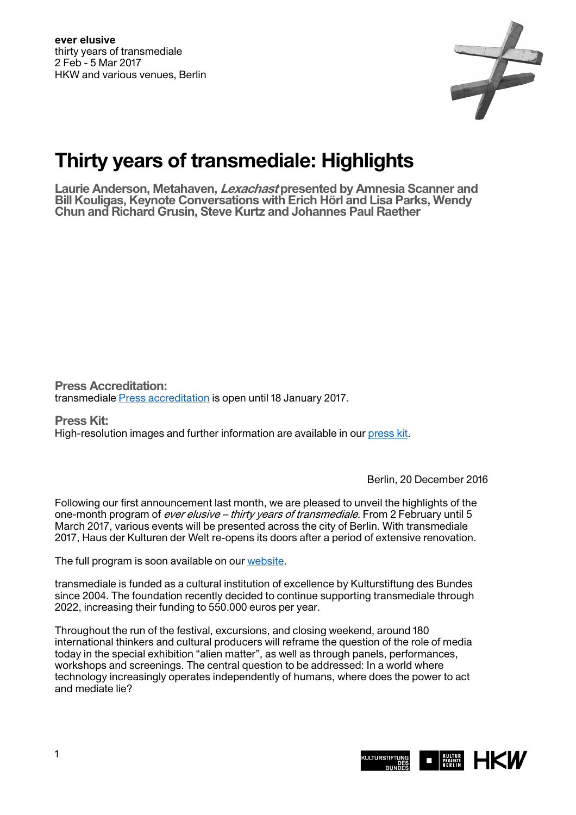

## **Thirty years of transmediale: Highlights**

**Laurie Anderson, Metahaven, Lexachast presented by Amnesia Scanner and Bill Kouligas, Keynote Conversations with Erich Hörl and Lisa Parks, Wendy Chun and Richard Grusin, Steve Kurtz and Johannes Paul Raether** 

**Press Accreditation:**  transmediale [Press accreditation](https://transmediale.de/festival/2017/press-accreditation-2017) is open until 18 January 2017.

**Press Kit:**  High-resolution images and further information are available in our [press kit.](https://transmediale.de/festival/2017/press)

Berlin, 20 December 2016

Following our first announcement last month, we are pleased to unveil the highlights of the one-month program of *ever elusive – thirty years of transmediale*. From 2 February until 5 March 2017, various events will be presented across the city of Berlin. With transmediale 2017, Haus der Kulturen der Welt re-opens its doors after a period of extensive renovation.

The full program is soon available on our [website](https://transmediale.de/).

transmediale is funded as a cultural institution of excellence by Kulturstiftung des Bundes since 2004. The foundation recently decided to continue supporting transmediale through 2022, increasing their funding to 550.000 euros per year.

Throughout the run of the festival, excursions, and closing weekend, around 180 international thinkers and cultural producers will reframe the question of the role of media today in the special exhibition "alien matter", as well as through panels, performances, workshops and screenings. The central question to be addressed: In a world where technology increasingly operates independently of humans, where does the power to act and mediate lie?

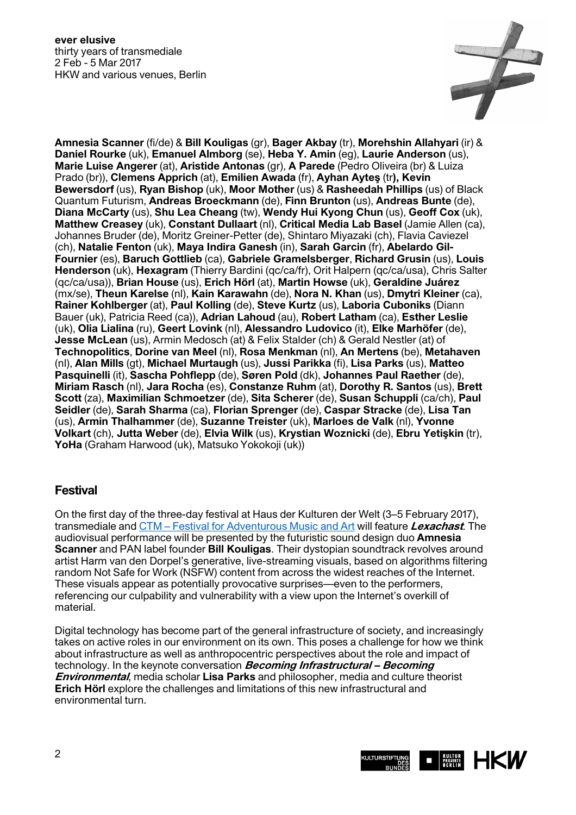**ever elusive** thirty years of transmediale 2 Feb - 5 Mar 2017 HKW and various venues, Berlin



**Amnesia Scanner** (fi/de) & **Bill Kouligas** (gr), **Bager Akbay** (tr), **Morehshin Allahyari** (ir) & **Daniel Rourke** (uk), **Emanuel Almborg** (se), **Heba Y. Amin** (eg), **Laurie Anderson** (us), **Marie Luise Angerer** (at), **Aristide Antonas** (gr), **A Parede** (Pedro Oliveira (br) & Luiza Prado (br)), **Clemens Apprich** (at), **Emilien Awada** (fr), **Ayhan Ayteş** (tr**), Kevin Bewersdorf** (us), **Ryan Bishop** (uk), **Moor Mother** (us) & **Rasheedah Phillips** (us) of Black Quantum Futurism, **Andreas Broeckmann** (de), **Finn Brunton** (us), **Andreas Bunte** (de), **Diana McCarty** (us), **Shu Lea Cheang** (tw), **Wendy Hui Kyong Chun** (us), **Geoff Cox** (uk), **Matthew Creasey** (uk), **Constant Dullaart** (nl), **Critical Media Lab Basel** (Jamie Allen (ca), Johannes Bruder (de), Moritz Greiner-Petter (de), Shintaro Miyazaki (ch), Flavia Caviezel (ch), **Natalie Fenton** (uk), **Maya Indira Ganesh** (in), **Sarah Garcin** (fr), **Abelardo Gil-Fournier** (es), **Baruch Gottlieb** (ca), **Gabriele Gramelsberger**, **Richard Grusin** (us), **Louis Henderson** (uk), **Hexagram** (Thierry Bardini (qc/ca/fr), Orit Halpern (qc/ca/usa), Chris Salter (qc/ca/usa)), **Brian House** (us), **Erich Hörl** (at), **Martin Howse** (uk), **Geraldine Juárez** (mx/se), **Theun Karelse** (nl), **Kain Karawahn** (de), **Nora N. Khan** (us), **Dmytri Kleiner** (ca), **Rainer Kohlberger** (at), **Paul Kolling** (de), **Steve Kurtz** (us), **Laboria Cuboniks** (Diann Bauer (uk), Patricia Reed (ca)), **Adrian Lahoud** (au), **Robert Latham** (ca), **Esther Leslie** (uk), **Olia Lialina** (ru), **Geert Lovink** (nl), **Alessandro Ludovico** (it), **Elke Marhöfer** (de), **Jesse McLean** (us), Armin Medosch (at) & Felix Stalder (ch) & Gerald Nestler (at) of **Technopolitics**, **Dorine van Meel** (nl), **Rosa Menkman** (nl), **An Mertens** (be), **Metahaven** (nl), **Alan Mills** (gt), **Michael Murtaugh** (us), **Jussi Parikka** (fi), **Lisa Parks** (us), **Matteo Pasquinelli** (it), **Sascha Pohflepp** (de), **Søren Pold** (dk), **Johannes Paul Raether** (de), **Miriam Rasch** (nl), **Jara Rocha** (es), **Constanze Ruhm** (at), **Dorothy R. Santos** (us), **Brett Scott** (za), **Maximilian Schmoetzer** (de), **Sita Scherer** (de), **Susan Schuppli** (ca/ch), **Paul Seidler** (de), **Sarah Sharma** (ca), **Florian Sprenger** (de), **Caspar Stracke** (de), **Lisa Tan** (us), **Armin Thalhammer** (de), **Suzanne Treister** (uk), **Marloes de Valk** (nl), **Yvonne Volkart** (ch), **Jutta Weber** (de), **Elvia Wilk** (us), **Krystian Woznicki** (de), **Ebru Yetişkin** (tr), **YoHa** (Graham Harwood (uk), Matsuko Yokokoji (uk))

## **Festival**

On the first day of the three-day festival at Haus der Kulturen der Welt (3–5 February 2017), transmediale and [CTM – Festival for Adventurous Music and Art](http://www.ctm-festival.de/news/) will feature **Lexachast**. The audiovisual performance will be presented by the futuristic sound design duo **Amnesia Scanner** and PAN label founder **Bill Kouligas**. Their dystopian soundtrack revolves around artist Harm van den Dorpel's generative, live-streaming visuals, based on algorithms filtering random Not Safe for Work (NSFW) content from across the widest reaches of the Internet. These visuals appear as potentially provocative surprises—even to the performers, referencing our culpability and vulnerability with a view upon the Internet's overkill of material.

Digital technology has become part of the general infrastructure of society, and increasingly takes on active roles in our environment on its own. This poses a challenge for how we think about infrastructure as well as anthropocentric perspectives about the role and impact of technology. In the keynote conversation **Becoming Infrastructural – Becoming Environmental**, media scholar **Lisa Parks** and philosopher, media and culture theorist **Erich Hörl** explore the challenges and limitations of this new infrastructural and environmental turn.

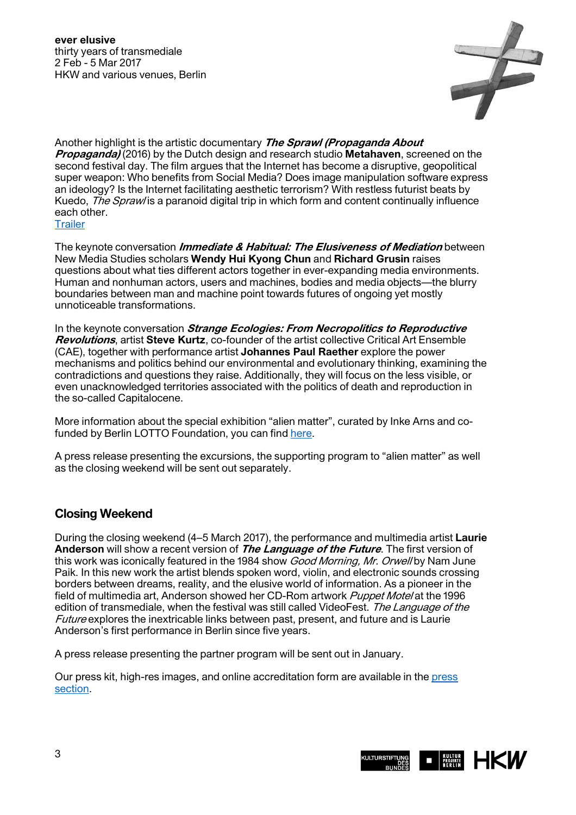**ever elusive** thirty years of transmediale 2 Feb - 5 Mar 2017 HKW and various venues, Berlin



Another highlight is the artistic documentary **The Sprawl (Propaganda About Propaganda)** (2016) by the Dutch design and research studio **Metahaven**, screened on the second festival day. The film argues that the Internet has become a disruptive, geopolitical super weapon: Who benefits from Social Media? Does image manipulation software express an ideology? Is the Internet facilitating aesthetic terrorism? With restless futurist beats by Kuedo, *The Spraw*/is a paranoid digital trip in which form and content continually influence each other. **Trailer** 

The keynote conversation **Immediate & Habitual: The Elusiveness of Mediation** between New Media Studies scholars **Wendy Hui Kyong Chun** and **Richard Grusin** raises questions about what ties different actors together in ever-expanding media environments. Human and nonhuman actors, users and machines, bodies and media objects—the blurry boundaries between man and machine point towards futures of ongoing yet mostly unnoticeable transformations.

In the keynote conversation **Strange Ecologies: From Necropolitics to Reproductive Revolutions**, artist **Steve Kurtz**, co-founder of the artist collective Critical Art Ensemble (CAE), together with performance artist **Johannes Paul Raether** explore the power mechanisms and politics behind our environmental and evolutionary thinking, examining the contradictions and questions they raise. Additionally, they will focus on the less visible, or even unacknowledged territories associated with the politics of death and reproduction in the so-called Capitalocene.

More information about the special exhibition "alien matter", curated by Inke Arns and cofunded by Berlin LOTTO Foundation, you can find [here.](https://transmediale.de/sites/default/files/public/EN_alien%20matter_PM2.pdf)

A press release presenting the excursions, the supporting program to "alien matter" as well as the closing weekend will be sent out separately.

## **Closing Weekend**

During the closing weekend (4–5 March 2017), the performance and multimedia artist **Laurie Anderson** will show a recent version of **The Language of the Future**. The first version of this work was iconically featured in the 1984 show *Good Morning, Mr. Orwell* by Nam June Paik. In this new work the artist blends spoken word, violin, and electronic sounds crossing borders between dreams, reality, and the elusive world of information. As a pioneer in the field of multimedia art, Anderson showed her CD-Rom artwork Puppet Motel at the 1996 edition of transmediale, when the festival was still called VideoFest. The Language of the Future explores the inextricable links between past, present, and future and is Laurie Anderson's first performance in Berlin since five years.

A press release presenting the partner program will be sent out in January.

Our press kit, high-res images, and online accreditation form are available in the [press](https://transmediale.de/festival/2017/press)  [section.](https://transmediale.de/festival/2017/press)